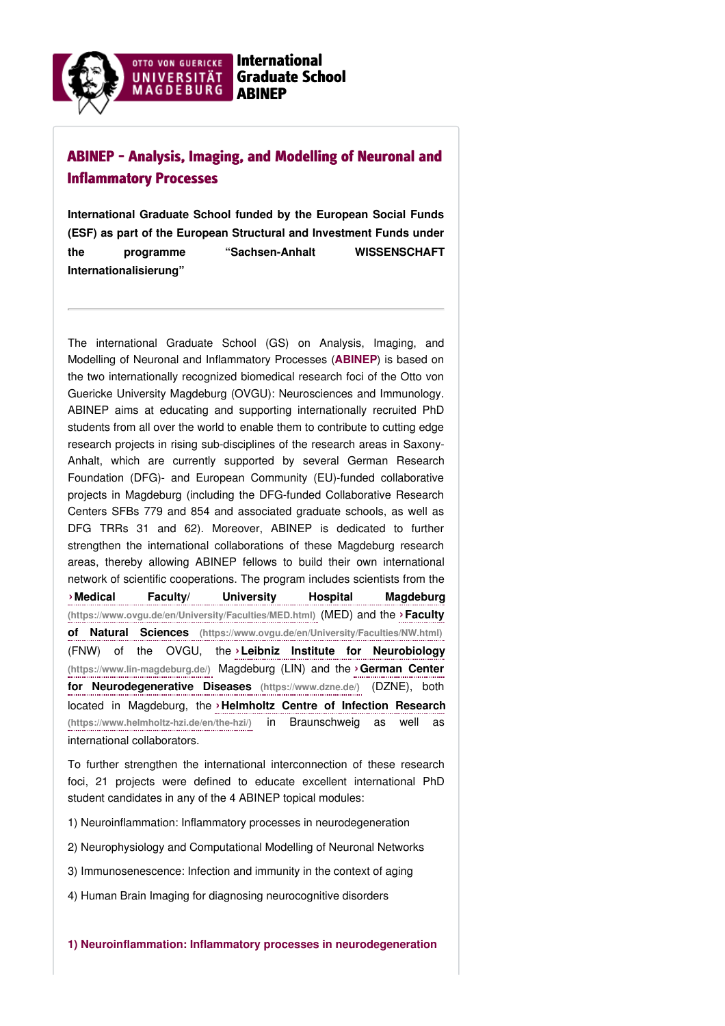

# ABINEP - Analysis, Imaging, and Modelling of Neuronal and Inflammatory Processes

**International Graduate School funded by the European Social Funds (ESF) as part of the European Structural and Investment Funds under the programme "Sachsen-Anhalt WISSENSCHAFT Internationalisierung"**

The international Graduate School (GS) on Analysis, Imaging, and Modelling of Neuronal and Inflammatory Processes (**ABINEP**) is based on the two internationally recognized biomedical research foci of the Otto von Guericke University Magdeburg (OVGU): Neurosciences and Immunology. ABINEP aims at educating and supporting internationally recruited PhD students from all over the world to enable them to contribute to cutting edge research projects in rising sub-disciplines of the research areas in Saxony-Anhalt, which are currently supported by several German Research Foundation (DFG)- and European Community (EU)-funded collaborative projects in Magdeburg (including the DFG-funded Collaborative Research Centers SFBs 779 and 854 and associated graduate schools, as well as DFG TRRs 31 and 62). Moreover, ABINEP is dedicated to further strengthen the international collaborations of these Magdeburg research areas, thereby allowing ABINEP fellows to build their own international network of scientific cooperations. The program includes scientists from the

**›Medical Faculty/ University Hospital Magdeburg [\(https://www.ovgu.de/en/University/Faculties/MED.html\)](https://www.ovgu.de/en/University/Faculties/MED.html)** (MED) and the **›Faculty of Natural Sciences (https://www.ovgu.de/en/University/Faculties/NW.html)** (FNW) of the OVGU, the **›Leibniz Institute for Neurobiology [\(https://www.lin-magdeburg.de/\)](https://www.lin-magdeburg.de/)** Magdeburg (LIN) and the **›German Center for Neurodegenerative Diseases (https://www.dzne.de/)** (DZNE), both located in Magdeburg, the **›Helmholtz Centre of Infection Research [\(https://www.helmholtz-hzi.de/en/the-hzi/\)](https://www.helmholtz-hzi.de/en/the-hzi/)** in Braunschweig as well as international collaborators.

To further strengthen the international interconnection of these research foci, 21 projects were defined to educate excellent international PhD student candidates in any of the 4 ABINEP topical modules:

1) Neuroinflammation: Inflammatory processes in neurodegeneration

2) Neurophysiology and Computational Modelling of Neuronal Networks

3) Immunosenescence: Infection and immunity in the context of aging

4) Human Brain Imaging for diagnosing neurocognitive disorders

**1) Neuroinflammation: Inflammatory processes in neurodegeneration**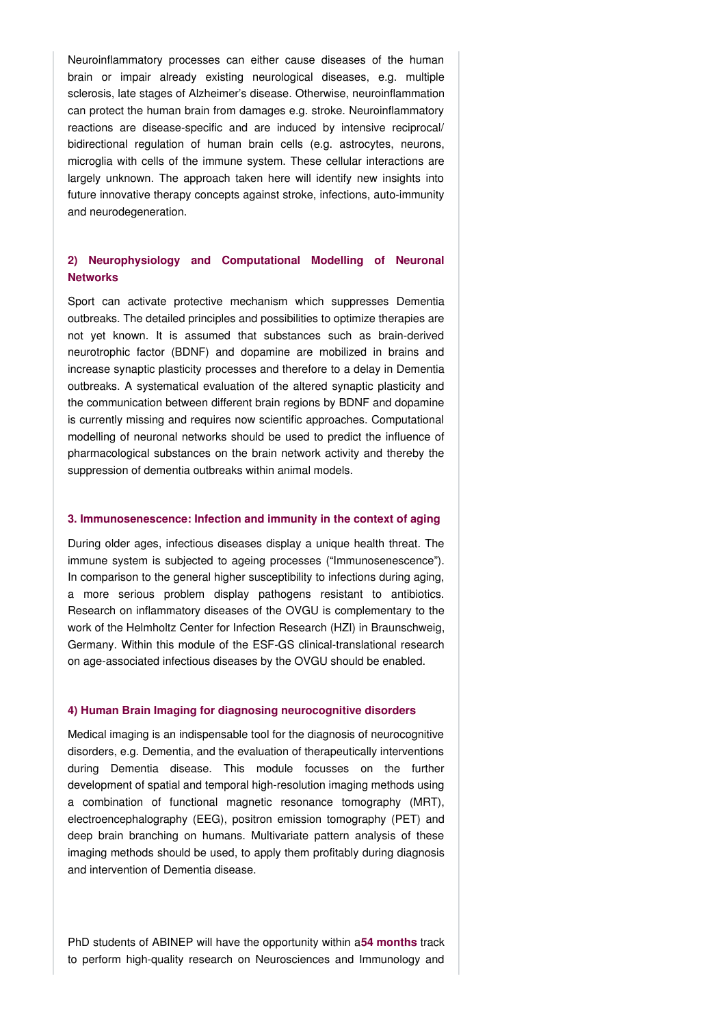Neuroinflammatory processes can either cause diseases of the human brain or impair already existing neurological diseases, e.g. multiple sclerosis, late stages of Alzheimer's disease. Otherwise, neuroinflammation can protect the human brain from damages e.g. stroke. Neuroinflammatory reactions are disease-specific and are induced by intensive reciprocal/ bidirectional regulation of human brain cells (e.g. astrocytes, neurons, microglia with cells of the immune system. These cellular interactions are largely unknown. The approach taken here will identify new insights into future innovative therapy concepts against stroke, infections, auto-immunity and neurodegeneration.

## **2) Neurophysiology and Computational Modelling of Neuronal Networks**

Sport can activate protective mechanism which suppresses Dementia outbreaks. The detailed principles and possibilities to optimize therapies are not yet known. It is assumed that substances such as brain-derived neurotrophic factor (BDNF) and dopamine are mobilized in brains and increase synaptic plasticity processes and therefore to a delay in Dementia outbreaks. A systematical evaluation of the altered synaptic plasticity and the communication between different brain regions by BDNF and dopamine is currently missing and requires now scientific approaches. Computational modelling of neuronal networks should be used to predict the influence of pharmacological substances on the brain network activity and thereby the suppression of dementia outbreaks within animal models.

#### **3. Immunosenescence: Infection and immunity in the context of aging**

During older ages, infectious diseases display a unique health threat. The immune system is subjected to ageing processes ("Immunosenescence"). In comparison to the general higher susceptibility to infections during aging, a more serious problem display pathogens resistant to antibiotics. Research on inflammatory diseases of the OVGU is complementary to the work of the Helmholtz Center for Infection Research (HZI) in Braunschweig, Germany. Within this module of the ESF-GS clinical-translational research on age-associated infectious diseases by the OVGU should be enabled.

#### **4) Human Brain Imaging for diagnosing neurocognitive disorders**

Medical imaging is an indispensable tool for the diagnosis of neurocognitive disorders, e.g. Dementia, and the evaluation of therapeutically interventions during Dementia disease. This module focusses on the further development of spatial and temporal high-resolution imaging methods using a combination of functional magnetic resonance tomography (MRT), electroencephalography (EEG), positron emission tomography (PET) and deep brain branching on humans. Multivariate pattern analysis of these imaging methods should be used, to apply them profitably during diagnosis and intervention of Dementia disease.

PhD students of ABINEP will have the opportunity within a**54 months** track to perform high-quality research on Neurosciences and Immunology and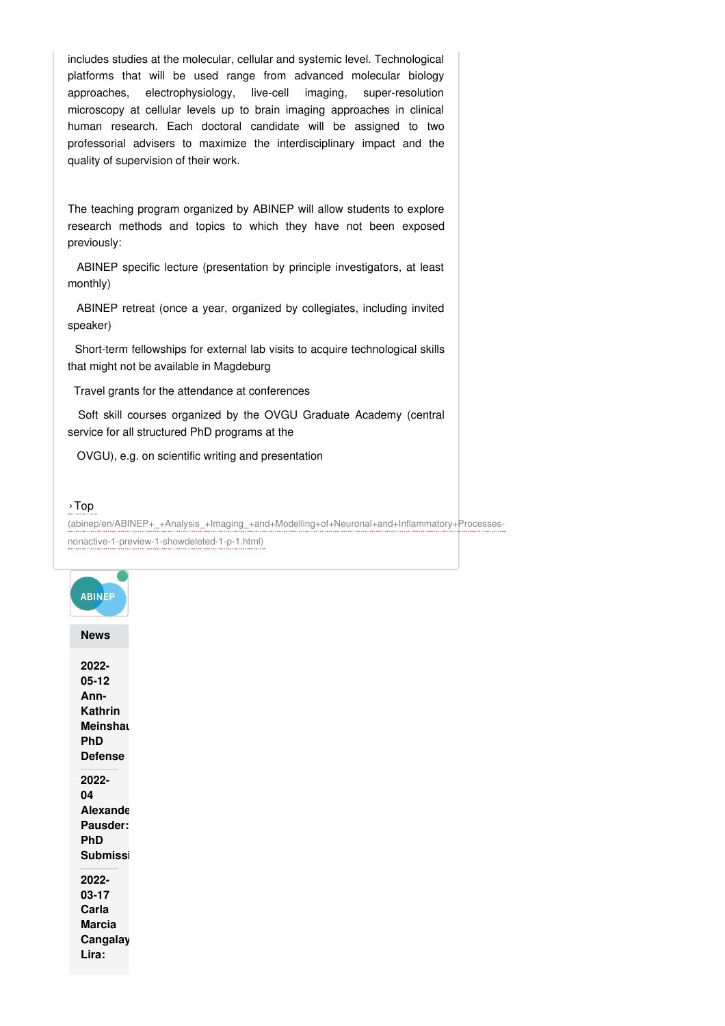includes studies at the molecular, cellular and systemic level. Technological platforms that will be used range from advanced molecular biology approaches, electrophysiology, live-cell imaging, super-resolution microscopy at cellular levels up to brain imaging approaches in clinical human research. Each doctoral candidate will be assigned to two professorial advisers to maximize the interdisciplinary impact and the quality of supervision of their work.

The teaching program organized by ABINEP will allow students to explore research methods and topics to which they have not been exposed previously:

ABINEP specific lecture (presentation by principle investigators, at least monthly)

ABINEP retreat (once a year, organized by collegiates, including invited speaker)

Short-term fellowships for external lab visits to acquire technological skills that might not be available in Magdeburg

Travel grants for the attendance at conferences

Soft skill courses organized by the OVGU Graduate Academy (central service for all structured PhD programs at the

OVGU), e.g. on scientific writing and presentation

### ›Top

[\(abinep/en/ABINEP+\\_+Analysis\\_+Imaging\\_+and+Modelling+of+Neuronal+and+Inflammatory+Processes](http://www31.ovgu.de/bin/tmp/abinep/en/ABINEP+_+Analysis_+Imaging_+and+Modelling+of+Neuronal+and+Inflammatory+Processes-nonactive-1-preview-1-showdeleted-1-p-1.html)nonactive-1-preview-1-showdeleted-1-p-1.html)